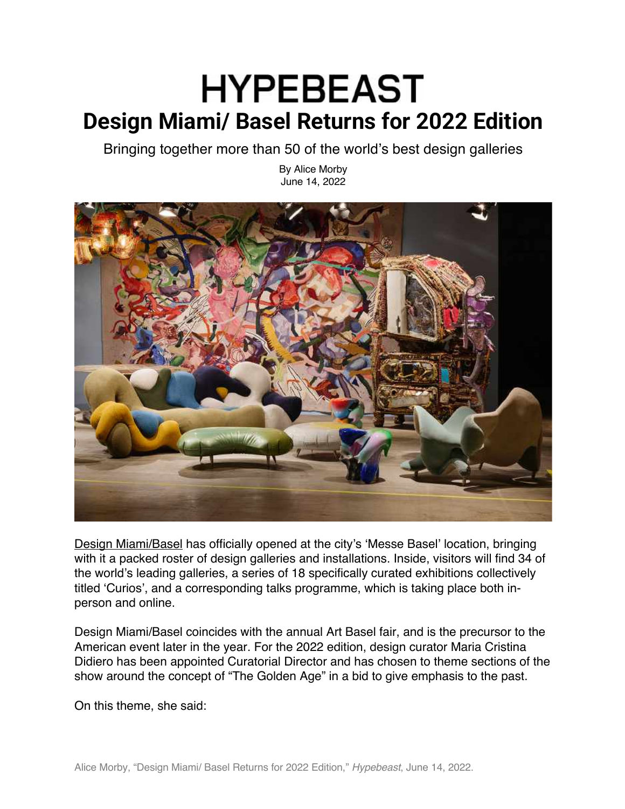## **HYPEBEAST Design Miami/ Basel Returns for 2022 Edition**

Bringing together more than 50 of the world's best design galleries

By Alice Morby June 14, 2022



Design Miami/Basel has officially opened at the city's 'Messe Basel' location, bringing with it a packed roster of design galleries and installations. Inside, visitors will find 34 of the world's leading galleries, a series of 18 specifically curated exhibitions collectively titled 'Curios', and a corresponding talks programme, which is taking place both inperson and online.

Design Miami/Basel coincides with the annual Art Basel fair, and is the precursor to the American event later in the year. For the 2022 edition, design curator Maria Cristina Didiero has been appointed Curatorial Director and has chosen to theme sections of the show around the concept of "The Golden Age" in a bid to give emphasis to the past.

On this theme, she said: